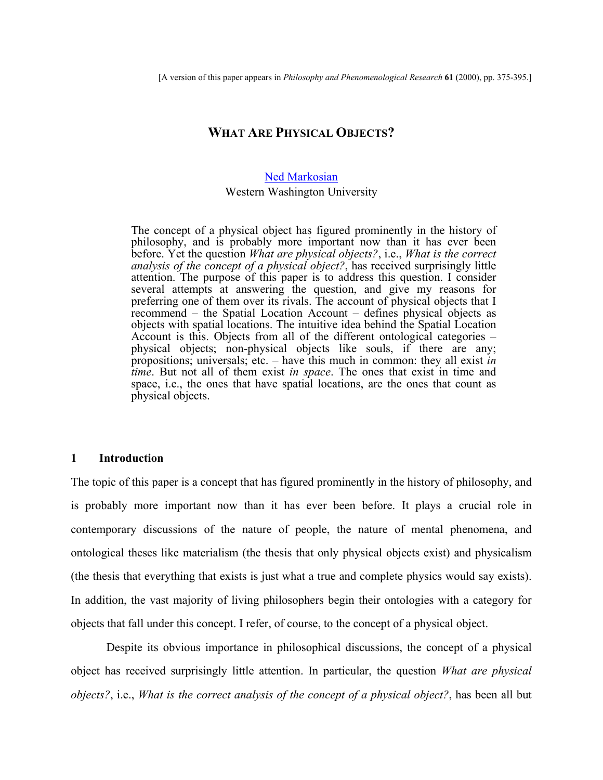# **WHAT ARE PHYSICAL OBJECTS?**

### Ned Markosian

Western Washington University

The concept of a physical object has figured prominently in the history of philosophy, and is probably more important now than it has ever been before. Yet the question *What are physical objects?*, i.e., *What is the correct analysis of the concept of a physical object?*, has received surprisingly little attention. The purpose of this paper is to address this question. I consider several attempts at answering the question, and give my reasons for preferring one of them over its rivals. The account of physical objects that I recommend – the Spatial Location Account – defines physical objects as objects with spatial locations. The intuitive idea behind the Spatial Location Account is this. Objects from all of the different ontological categories – physical objects; non-physical objects like souls, if there are any; propositions; universals; etc. – have this much in common: they all exist *in time*. But not all of them exist *in space*. The ones that exist in time and space, i.e., the ones that have spatial locations, are the ones that count as physical objects.

#### **1 Introduction**

The topic of this paper is a concept that has figured prominently in the history of philosophy, and is probably more important now than it has ever been before. It plays a crucial role in contemporary discussions of the nature of people, the nature of mental phenomena, and ontological theses like materialism (the thesis that only physical objects exist) and physicalism (the thesis that everything that exists is just what a true and complete physics would say exists). In addition, the vast majority of living philosophers begin their ontologies with a category for objects that fall under this concept. I refer, of course, to the concept of a physical object.

 Despite its obvious importance in philosophical discussions, the concept of a physical object has received surprisingly little attention. In particular, the question *What are physical objects?*, i.e., *What is the correct analysis of the concept of a physical object?*, has been all but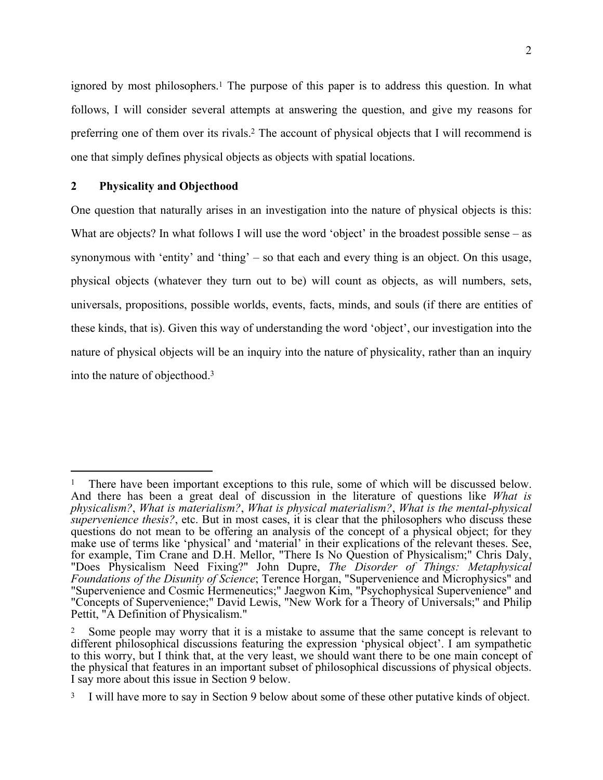ignored by most philosophers.<sup>1</sup> The purpose of this paper is to address this question. In what follows, I will consider several attempts at answering the question, and give my reasons for preferring one of them over its rivals[.2](#page-1-1) The account of physical objects that I will recommend is one that simply defines physical objects as objects with spatial locations.

### **2 Physicality and Objecthood**

 $\overline{a}$ 

One question that naturally arises in an investigation into the nature of physical objects is this: What are objects? In what follows I will use the word 'object' in the broadest possible sense – as synonymous with 'entity' and 'thing' – so that each and every thing is an object. On this usage, physical objects (whatever they turn out to be) will count as objects, as will numbers, sets, universals, propositions, possible worlds, events, facts, minds, and souls (if there are entities of these kinds, that is). Given this way of understanding the word 'object', our investigation into the nature of physical objects will be an inquiry into the nature of physicality, rather than an inquiry into the nature of objecthood.[3](#page-1-2)

<span id="page-1-0"></span>There have been important exceptions to this rule, some of which will be discussed below. And there has been a great deal of discussion in the literature of questions like *What is physicalism?*, *What is materialism?*, *What is physical materialism?*, *What is the mental-physical supervenience thesis?*, etc. But in most cases, it is clear that the philosophers who discuss these questions do not mean to be offering an analysis of the concept of a physical object; for they make use of terms like 'physical' and 'material' in their explications of the relevant theses. See, for example, Tim Crane and D.H. Mellor, "There Is No Question of Physicalism;" Chris Daly, "Does Physicalism Need Fixing?" John Dupre, *The Disorder of Things: Metaphysical Foundations of the Disunity of Science*; Terence Horgan, "Supervenience and Microphysics" and "Supervenience and Cosmic Hermeneutics;" Jaegwon Kim, "Psychophysical Supervenience" and "Concepts of Supervenience;" David Lewis, "New Work for a Theory of Universals;" and Philip Pettit, "A Definition of Physicalism."

<span id="page-1-1"></span><sup>&</sup>lt;sup>2</sup> Some people may worry that it is a mistake to assume that the same concept is relevant to different philosophical discussions featuring the expression 'physical object'. I am sympathetic to this worry, but I think that, at the very least, we should want there to be one main concept of the physical that features in an important subset of philosophical discussions of physical objects. I say more about this issue in Section 9 below.

<span id="page-1-2"></span>I will have more to say in Section 9 below about some of these other putative kinds of object.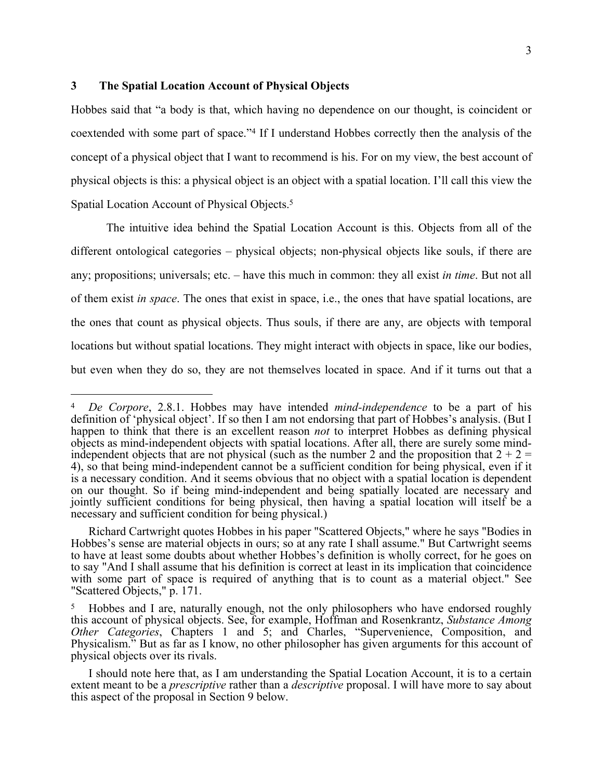#### **3 The Spatial Location Account of Physical Objects**

 $\overline{a}$ 

Hobbes said that "a body is that, which having no dependence on our thought, is coincident or coextended with some part of space."[4](#page-2-0) If I understand Hobbes correctly then the analysis of the concept of a physical object that I want to recommend is his. For on my view, the best account of physical objects is this: a physical object is an object with a spatial location. I'll call this view the Spatial Location Account of Physical Objects[.5](#page-2-1)

The intuitive idea behind the Spatial Location Account is this. Objects from all of the different ontological categories – physical objects; non-physical objects like souls, if there are any; propositions; universals; etc. – have this much in common: they all exist *in time*. But not all of them exist *in space*. The ones that exist in space, i.e., the ones that have spatial locations, are the ones that count as physical objects. Thus souls, if there are any, are objects with temporal locations but without spatial locations. They might interact with objects in space, like our bodies, but even when they do so, they are not themselves located in space. And if it turns out that a

<span id="page-2-0"></span><sup>4</sup> *De Corpore*, 2.8.1. Hobbes may have intended *mind-independence* to be a part of his definition of 'physical object'. If so then I am not endorsing that part of Hobbes's analysis. (But I happen to think that there is an excellent reason *not* to interpret Hobbes as defining physical objects as mind-independent objects with spatial locations. After all, there are surely some mindindependent objects that are not physical (such as the number 2 and the proposition that  $2 + 2 =$ 4), so that being mind-independent cannot be a sufficient condition for being physical, even if it is a necessary condition. And it seems obvious that no object with a spatial location is dependent on our thought. So if being mind-independent and being spatially located are necessary and jointly sufficient conditions for being physical, then having a spatial location will itself be a necessary and sufficient condition for being physical.)

Richard Cartwright quotes Hobbes in his paper "Scattered Objects," where he says "Bodies in Hobbes's sense are material objects in ours; so at any rate I shall assume." But Cartwright seems to have at least some doubts about whether Hobbes's definition is wholly correct, for he goes on to say "And I shall assume that his definition is correct at least in its implication that coincidence with some part of space is required of anything that is to count as a material object." See "Scattered Objects," p. 171.

<span id="page-2-1"></span><sup>5</sup> Hobbes and I are, naturally enough, not the only philosophers who have endorsed roughly this account of physical objects. See, for example, Hoffman and Rosenkrantz, *Substance Among Other Categories*, Chapters 1 and 5; and Charles, "Supervenience, Composition, and Physicalism." But as far as I know, no other philosopher has given arguments for this account of physical objects over its rivals.

I should note here that, as I am understanding the Spatial Location Account, it is to a certain extent meant to be a *prescriptive* rather than a *descriptive* proposal. I will have more to say about this aspect of the proposal in Section 9 below.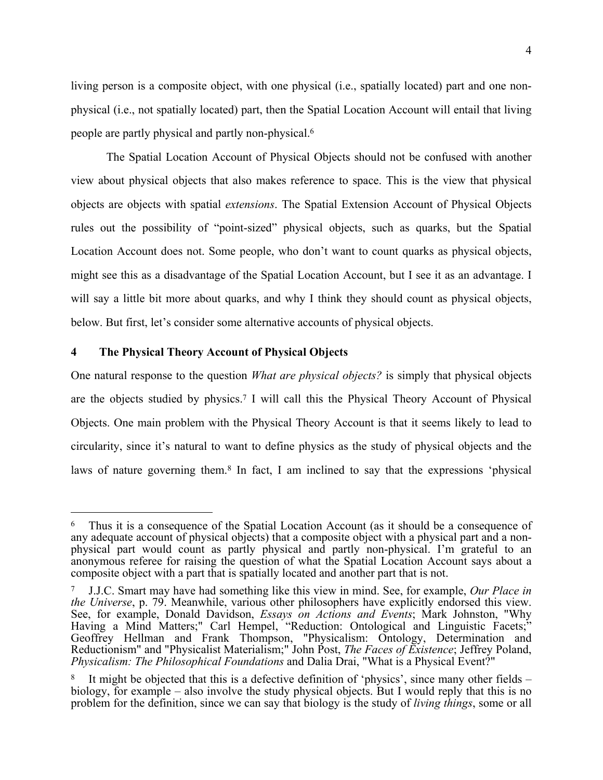living person is a composite object, with one physical (i.e., spatially located) part and one nonphysical (i.e., not spatially located) part, then the Spatial Location Account will entail that living people are partly physical and partly non-physical[.6](#page-3-0)

The Spatial Location Account of Physical Objects should not be confused with another view about physical objects that also makes reference to space. This is the view that physical objects are objects with spatial *extensions*. The Spatial Extension Account of Physical Objects rules out the possibility of "point-sized" physical objects, such as quarks, but the Spatial Location Account does not. Some people, who don't want to count quarks as physical objects, might see this as a disadvantage of the Spatial Location Account, but I see it as an advantage. I will say a little bit more about quarks, and why I think they should count as physical objects, below. But first, let's consider some alternative accounts of physical objects.

#### **4 The Physical Theory Account of Physical Objects**

1

One natural response to the question *What are physical objects?* is simply that physical objects are the objects studied by physics.[7](#page-3-1) I will call this the Physical Theory Account of Physical Objects. One main problem with the Physical Theory Account is that it seems likely to lead to circularity, since it's natural to want to define physics as the study of physical objects and the laws of nature governing them.[8](#page-3-2) In fact, I am inclined to say that the expressions 'physical

<span id="page-3-0"></span>Thus it is a consequence of the Spatial Location Account (as it should be a consequence of any adequate account of physical objects) that a composite object with a physical part and a nonphysical part would count as partly physical and partly non-physical. I'm grateful to an anonymous referee for raising the question of what the Spatial Location Account says about a composite object with a part that is spatially located and another part that is not.

<span id="page-3-1"></span><sup>7</sup> J.J.C. Smart may have had something like this view in mind. See, for example, *Our Place in the Universe*, p. 79. Meanwhile, various other philosophers have explicitly endorsed this view. See, for example, Donald Davidson, *Essays on Actions and Events*; Mark Johnston, "Why Having a Mind Matters;" Carl Hempel, "Reduction: Ontological and Linguistic Facets;" Geoffrey Hellman and Frank Thompson, "Physicalism: Ontology, Determination and Reductionism" and "Physicalist Materialism;" John Post, *The Faces of Existence*; Jeffrey Poland, *Physicalism: The Philosophical Foundations* and Dalia Drai, "What is a Physical Event?"

<span id="page-3-2"></span><sup>8</sup> It might be objected that this is a defective definition of 'physics', since many other fields – biology, for example – also involve the study physical objects. But I would reply that this is no problem for the definition, since we can say that biology is the study of *living things*, some or all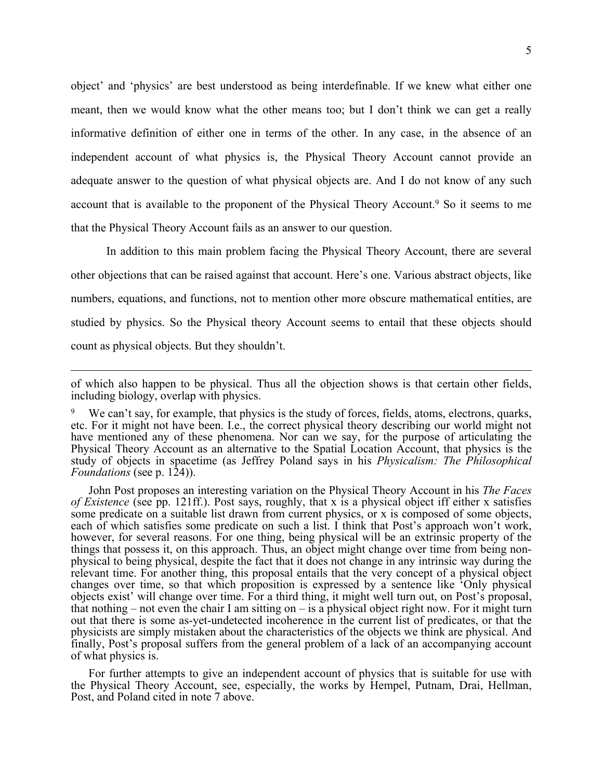object' and 'physics' are best understood as being interdefinable. If we knew what either one meant, then we would know what the other means too; but I don't think we can get a really informative definition of either one in terms of the other. In any case, in the absence of an independent account of what physics is, the Physical Theory Account cannot provide an adequate answer to the question of what physical objects are. And I do not know of any such account that is available to the proponent of the Physical Theory Account.[9](#page-4-0) So it seems to me that the Physical Theory Account fails as an answer to our question.

In addition to this main problem facing the Physical Theory Account, there are several other objections that can be raised against that account. Here's one. Various abstract objects, like numbers, equations, and functions, not to mention other more obscure mathematical entities, are studied by physics. So the Physical theory Account seems to entail that these objects should count as physical objects. But they shouldn't.

1

John Post proposes an interesting variation on the Physical Theory Account in his *The Faces of Existence* (see pp. 121ff.). Post says, roughly, that x is a physical object iff either x satisfies some predicate on a suitable list drawn from current physics, or x is composed of some objects, each of which satisfies some predicate on such a list. I think that Post's approach won't work, however, for several reasons. For one thing, being physical will be an extrinsic property of the things that possess it, on this approach. Thus, an object might change over time from being nonphysical to being physical, despite the fact that it does not change in any intrinsic way during the relevant time. For another thing, this proposal entails that the very concept of a physical object changes over time, so that which proposition is expressed by a sentence like 'Only physical objects exist' will change over time. For a third thing, it might well turn out, on Post's proposal, that nothing – not even the chair I am sitting on – is a physical object right now. For it might turn out that there is some as-yet-undetected incoherence in the current list of predicates, or that the physicists are simply mistaken about the characteristics of the objects we think are physical. And finally, Post's proposal suffers from the general problem of a lack of an accompanying account of what physics is.

For further attempts to give an independent account of physics that is suitable for use with the Physical Theory Account, see, especially, the works by Hempel, Putnam, Drai, Hellman, Post, and Poland cited in note 7 above.

of which also happen to be physical. Thus all the objection shows is that certain other fields, including biology, overlap with physics.

<span id="page-4-0"></span><sup>9</sup> We can't say, for example, that physics is the study of forces, fields, atoms, electrons, quarks, etc. For it might not have been. I.e., the correct physical theory describing our world might not have mentioned any of these phenomena. Nor can we say, for the purpose of articulating the Physical Theory Account as an alternative to the Spatial Location Account, that physics is the study of objects in spacetime (as Jeffrey Poland says in his *Physicalism: The Philosophical Foundations* (see p. 124)).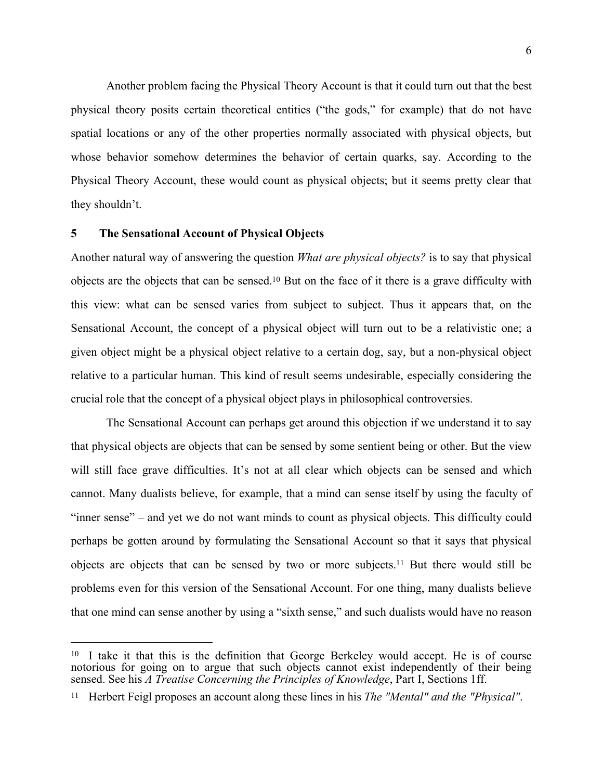Another problem facing the Physical Theory Account is that it could turn out that the best physical theory posits certain theoretical entities ("the gods," for example) that do not have spatial locations or any of the other properties normally associated with physical objects, but whose behavior somehow determines the behavior of certain quarks, say. According to the Physical Theory Account, these would count as physical objects; but it seems pretty clear that they shouldn't.

#### **5 The Sensational Account of Physical Objects**

 $\overline{a}$ 

Another natural way of answering the question *What are physical objects?* is to say that physical objects are the objects that can be sensed.[10](#page-5-0) But on the face of it there is a grave difficulty with this view: what can be sensed varies from subject to subject. Thus it appears that, on the Sensational Account, the concept of a physical object will turn out to be a relativistic one; a given object might be a physical object relative to a certain dog, say, but a non-physical object relative to a particular human. This kind of result seems undesirable, especially considering the crucial role that the concept of a physical object plays in philosophical controversies.

The Sensational Account can perhaps get around this objection if we understand it to say that physical objects are objects that can be sensed by some sentient being or other. But the view will still face grave difficulties. It's not at all clear which objects can be sensed and which cannot. Many dualists believe, for example, that a mind can sense itself by using the faculty of "inner sense" – and yet we do not want minds to count as physical objects. This difficulty could perhaps be gotten around by formulating the Sensational Account so that it says that physical objects are objects that can be sensed by two or more subjects.[11](#page-5-1) But there would still be problems even for this version of the Sensational Account. For one thing, many dualists believe that one mind can sense another by using a "sixth sense," and such dualists would have no reason

<span id="page-5-0"></span><sup>10</sup> I take it that this is the definition that George Berkeley would accept. He is of course notorious for going on to argue that such objects cannot exist independently of their being sensed. See his *A Treatise Concerning the Principles of Knowledge*, Part I, Sections 1ff.

<span id="page-5-1"></span><sup>11</sup> Herbert Feigl proposes an account along these lines in his *The "Mental" and the "Physical"*.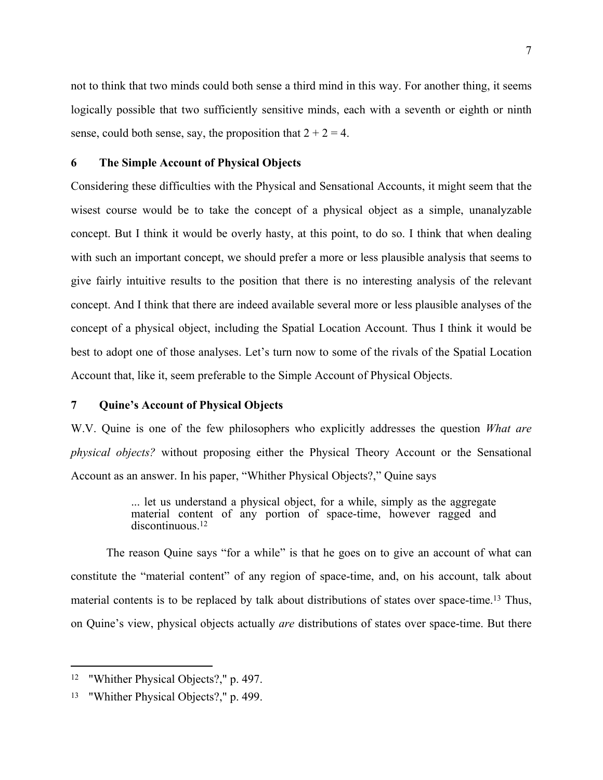not to think that two minds could both sense a third mind in this way. For another thing, it seems logically possible that two sufficiently sensitive minds, each with a seventh or eighth or ninth sense, could both sense, say, the proposition that  $2 + 2 = 4$ .

## **6 The Simple Account of Physical Objects**

Considering these difficulties with the Physical and Sensational Accounts, it might seem that the wisest course would be to take the concept of a physical object as a simple, unanalyzable concept. But I think it would be overly hasty, at this point, to do so. I think that when dealing with such an important concept, we should prefer a more or less plausible analysis that seems to give fairly intuitive results to the position that there is no interesting analysis of the relevant concept. And I think that there are indeed available several more or less plausible analyses of the concept of a physical object, including the Spatial Location Account. Thus I think it would be best to adopt one of those analyses. Let's turn now to some of the rivals of the Spatial Location Account that, like it, seem preferable to the Simple Account of Physical Objects.

#### **7 Quine's Account of Physical Objects**

W.V. Quine is one of the few philosophers who explicitly addresses the question *What are physical objects?* without proposing either the Physical Theory Account or the Sensational Account as an answer. In his paper, "Whither Physical Objects?," Quine says

> ... let us understand a physical object, for a while, simply as the aggregate material content of any portion of space-time, however ragged and discontinuous.<sup>[12](#page-6-0)</sup>

The reason Quine says "for a while" is that he goes on to give an account of what can constitute the "material content" of any region of space-time, and, on his account, talk about material contents is to be replaced by talk about distributions of states over space-time.[13](#page-6-1) Thus, on Quine's view, physical objects actually *are* distributions of states over space-time. But there

<span id="page-6-0"></span><sup>12</sup> "Whither Physical Objects?," p. 497.

<span id="page-6-1"></span><sup>13</sup> "Whither Physical Objects?," p. 499.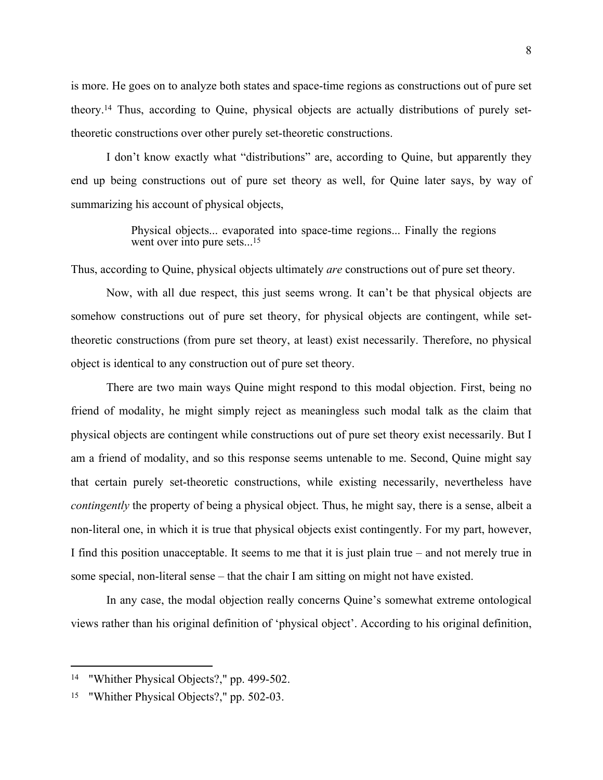is more. He goes on to analyze both states and space-time regions as constructions out of pure set theory.[14](#page-7-0) Thus, according to Quine, physical objects are actually distributions of purely settheoretic constructions over other purely set-theoretic constructions.

I don't know exactly what "distributions" are, according to Quine, but apparently they end up being constructions out of pure set theory as well, for Quine later says, by way of summarizing his account of physical objects,

> Physical objects... evaporated into space-time regions... Finally the regions went over into pure sets...<sup>[15](#page-7-1)</sup>

Thus, according to Quine, physical objects ultimately *are* constructions out of pure set theory.

Now, with all due respect, this just seems wrong. It can't be that physical objects are somehow constructions out of pure set theory, for physical objects are contingent, while settheoretic constructions (from pure set theory, at least) exist necessarily. Therefore, no physical object is identical to any construction out of pure set theory.

There are two main ways Quine might respond to this modal objection. First, being no friend of modality, he might simply reject as meaningless such modal talk as the claim that physical objects are contingent while constructions out of pure set theory exist necessarily. But I am a friend of modality, and so this response seems untenable to me. Second, Quine might say that certain purely set-theoretic constructions, while existing necessarily, nevertheless have *contingently* the property of being a physical object. Thus, he might say, there is a sense, albeit a non-literal one, in which it is true that physical objects exist contingently. For my part, however, I find this position unacceptable. It seems to me that it is just plain true – and not merely true in some special, non-literal sense – that the chair I am sitting on might not have existed.

In any case, the modal objection really concerns Quine's somewhat extreme ontological views rather than his original definition of 'physical object'. According to his original definition,

<span id="page-7-0"></span><sup>14</sup> "Whither Physical Objects?," pp. 499-502.

<span id="page-7-1"></span><sup>15</sup> "Whither Physical Objects?," pp. 502-03.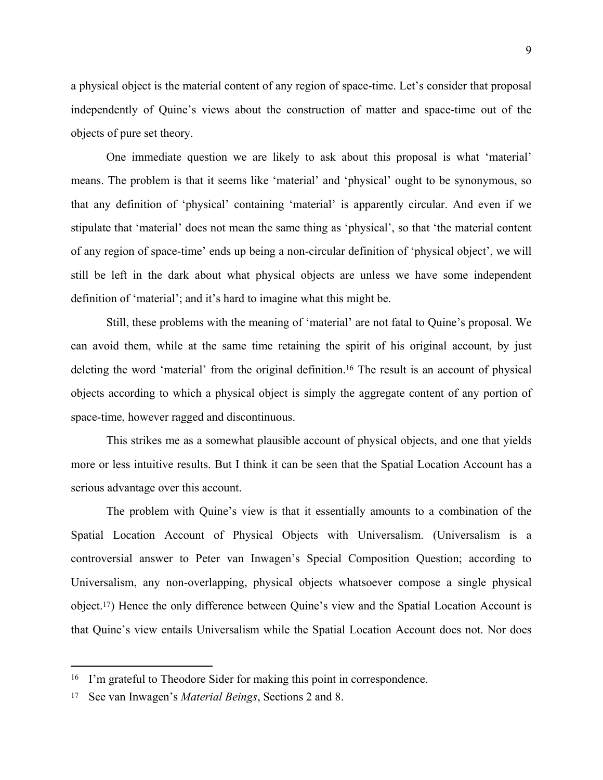a physical object is the material content of any region of space-time. Let's consider that proposal independently of Quine's views about the construction of matter and space-time out of the objects of pure set theory.

One immediate question we are likely to ask about this proposal is what 'material' means. The problem is that it seems like 'material' and 'physical' ought to be synonymous, so that any definition of 'physical' containing 'material' is apparently circular. And even if we stipulate that 'material' does not mean the same thing as 'physical', so that 'the material content of any region of space-time' ends up being a non-circular definition of 'physical object', we will still be left in the dark about what physical objects are unless we have some independent definition of 'material'; and it's hard to imagine what this might be.

Still, these problems with the meaning of 'material' are not fatal to Quine's proposal. We can avoid them, while at the same time retaining the spirit of his original account, by just deleting the word 'material' from the original definition[.16](#page-8-0) The result is an account of physical objects according to which a physical object is simply the aggregate content of any portion of space-time, however ragged and discontinuous.

This strikes me as a somewhat plausible account of physical objects, and one that yields more or less intuitive results. But I think it can be seen that the Spatial Location Account has a serious advantage over this account.

The problem with Quine's view is that it essentially amounts to a combination of the Spatial Location Account of Physical Objects with Universalism. (Universalism is a controversial answer to Peter van Inwagen's Special Composition Question; according to Universalism, any non-overlapping, physical objects whatsoever compose a single physical object[.17\)](#page-8-1) Hence the only difference between Quine's view and the Spatial Location Account is that Quine's view entails Universalism while the Spatial Location Account does not. Nor does

1

<span id="page-8-0"></span><sup>16</sup> I'm grateful to Theodore Sider for making this point in correspondence.

<span id="page-8-1"></span><sup>17</sup> See van Inwagen's *Material Beings*, Sections 2 and 8.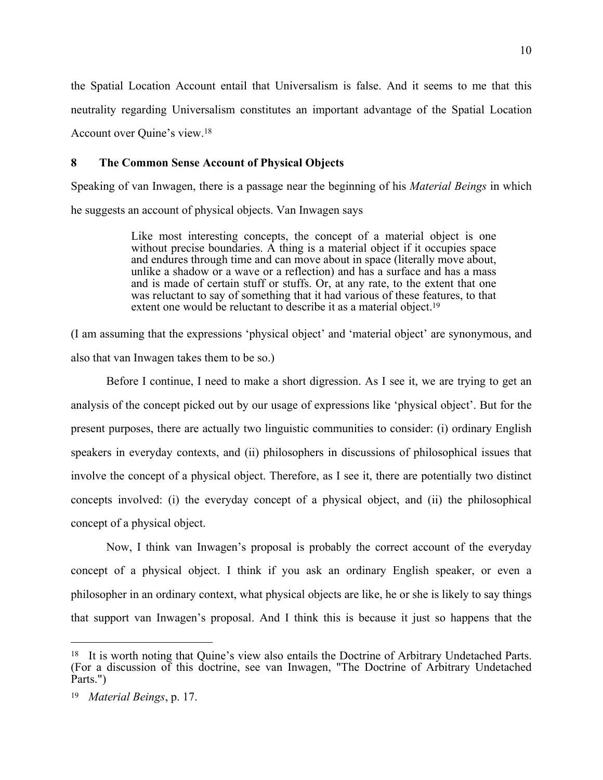the Spatial Location Account entail that Universalism is false. And it seems to me that this neutrality regarding Universalism constitutes an important advantage of the Spatial Location Account over Quine's view[.18](#page-9-0)

## **8 The Common Sense Account of Physical Objects**

Speaking of van Inwagen, there is a passage near the beginning of his *Material Beings* in which he suggests an account of physical objects. Van Inwagen says

> Like most interesting concepts, the concept of a material object is one without precise boundaries. A thing is a material object if it occupies space and endures through time and can move about in space (literally move about, unlike a shadow or a wave or a reflection) and has a surface and has a mass and is made of certain stuff or stuffs. Or, at any rate, to the extent that one was reluctant to say of something that it had various of these features, to that extent one would be reluctant to describe it as a material object.<sup>19</sup>

(I am assuming that the expressions 'physical object' and 'material object' are synonymous, and also that van Inwagen takes them to be so.)

Before I continue, I need to make a short digression. As I see it, we are trying to get an analysis of the concept picked out by our usage of expressions like 'physical object'. But for the present purposes, there are actually two linguistic communities to consider: (i) ordinary English speakers in everyday contexts, and (ii) philosophers in discussions of philosophical issues that involve the concept of a physical object. Therefore, as I see it, there are potentially two distinct concepts involved: (i) the everyday concept of a physical object, and (ii) the philosophical concept of a physical object.

Now, I think van Inwagen's proposal is probably the correct account of the everyday concept of a physical object. I think if you ask an ordinary English speaker, or even a philosopher in an ordinary context, what physical objects are like, he or she is likely to say things that support van Inwagen's proposal. And I think this is because it just so happens that the

<span id="page-9-0"></span><sup>18</sup> It is worth noting that Quine's view also entails the Doctrine of Arbitrary Undetached Parts. (For a discussion of this doctrine, see van Inwagen, "The Doctrine of Arbitrary Undetached Parts.")

<span id="page-9-1"></span><sup>19</sup> *Material Beings*, p. 17.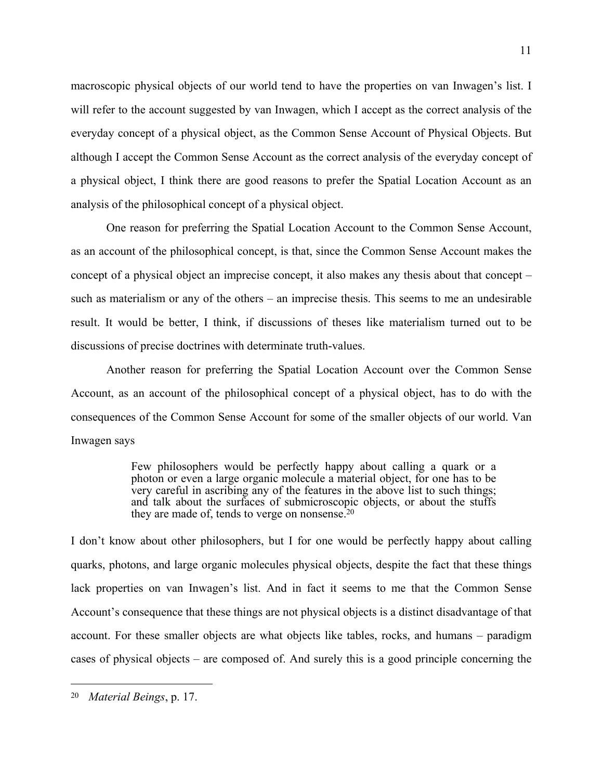macroscopic physical objects of our world tend to have the properties on van Inwagen's list. I will refer to the account suggested by van Inwagen, which I accept as the correct analysis of the everyday concept of a physical object, as the Common Sense Account of Physical Objects. But although I accept the Common Sense Account as the correct analysis of the everyday concept of a physical object, I think there are good reasons to prefer the Spatial Location Account as an analysis of the philosophical concept of a physical object.

One reason for preferring the Spatial Location Account to the Common Sense Account, as an account of the philosophical concept, is that, since the Common Sense Account makes the concept of a physical object an imprecise concept, it also makes any thesis about that concept – such as materialism or any of the others – an imprecise thesis. This seems to me an undesirable result. It would be better, I think, if discussions of theses like materialism turned out to be discussions of precise doctrines with determinate truth-values.

Another reason for preferring the Spatial Location Account over the Common Sense Account, as an account of the philosophical concept of a physical object, has to do with the consequences of the Common Sense Account for some of the smaller objects of our world. Van Inwagen says

> Few philosophers would be perfectly happy about calling a quark or a photon or even a large organic molecule a material object, for one has to be very careful in ascribing any of the features in the above list to such things; and talk about the surfaces of submicroscopic objects, or about the stuffs they are made of, tends to verge on nonsense.[20](#page-10-0)

I don't know about other philosophers, but I for one would be perfectly happy about calling quarks, photons, and large organic molecules physical objects, despite the fact that these things lack properties on van Inwagen's list. And in fact it seems to me that the Common Sense Account's consequence that these things are not physical objects is a distinct disadvantage of that account. For these smaller objects are what objects like tables, rocks, and humans – paradigm cases of physical objects – are composed of. And surely this is a good principle concerning the

1

<span id="page-10-0"></span><sup>20</sup> *Material Beings*, p. 17.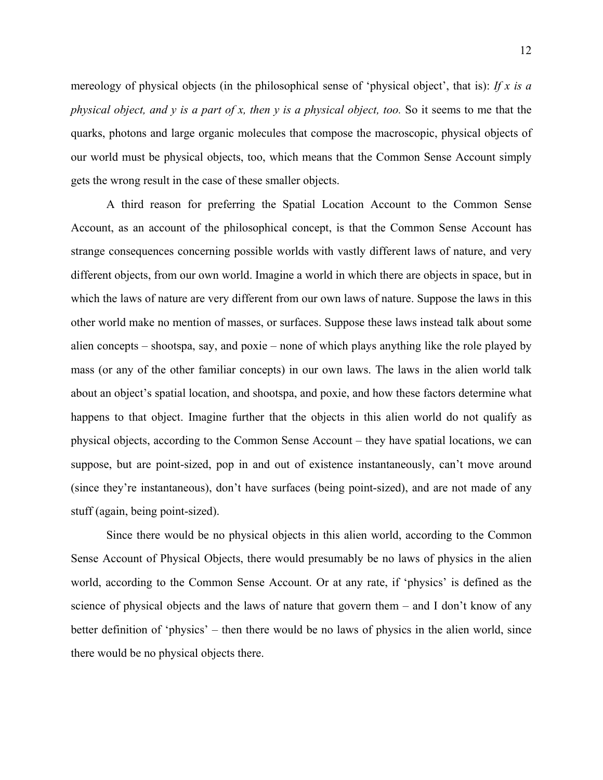mereology of physical objects (in the philosophical sense of 'physical object', that is): *If x is a physical object, and y is a part of x, then y is a physical object, too.* So it seems to me that the quarks, photons and large organic molecules that compose the macroscopic, physical objects of our world must be physical objects, too, which means that the Common Sense Account simply gets the wrong result in the case of these smaller objects.

A third reason for preferring the Spatial Location Account to the Common Sense Account, as an account of the philosophical concept, is that the Common Sense Account has strange consequences concerning possible worlds with vastly different laws of nature, and very different objects, from our own world. Imagine a world in which there are objects in space, but in which the laws of nature are very different from our own laws of nature. Suppose the laws in this other world make no mention of masses, or surfaces. Suppose these laws instead talk about some alien concepts – shootspa, say, and poxie – none of which plays anything like the role played by mass (or any of the other familiar concepts) in our own laws. The laws in the alien world talk about an object's spatial location, and shootspa, and poxie, and how these factors determine what happens to that object. Imagine further that the objects in this alien world do not qualify as physical objects, according to the Common Sense Account – they have spatial locations, we can suppose, but are point-sized, pop in and out of existence instantaneously, can't move around (since they're instantaneous), don't have surfaces (being point-sized), and are not made of any stuff (again, being point-sized).

Since there would be no physical objects in this alien world, according to the Common Sense Account of Physical Objects, there would presumably be no laws of physics in the alien world, according to the Common Sense Account. Or at any rate, if 'physics' is defined as the science of physical objects and the laws of nature that govern them – and I don't know of any better definition of 'physics' – then there would be no laws of physics in the alien world, since there would be no physical objects there.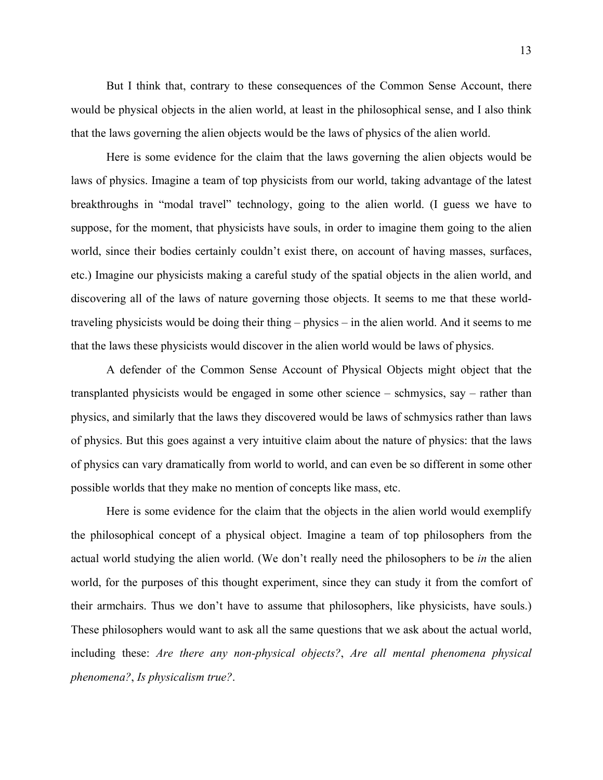But I think that, contrary to these consequences of the Common Sense Account, there would be physical objects in the alien world, at least in the philosophical sense, and I also think that the laws governing the alien objects would be the laws of physics of the alien world.

Here is some evidence for the claim that the laws governing the alien objects would be laws of physics. Imagine a team of top physicists from our world, taking advantage of the latest breakthroughs in "modal travel" technology, going to the alien world. (I guess we have to suppose, for the moment, that physicists have souls, in order to imagine them going to the alien world, since their bodies certainly couldn't exist there, on account of having masses, surfaces, etc.) Imagine our physicists making a careful study of the spatial objects in the alien world, and discovering all of the laws of nature governing those objects. It seems to me that these worldtraveling physicists would be doing their thing – physics – in the alien world. And it seems to me that the laws these physicists would discover in the alien world would be laws of physics.

A defender of the Common Sense Account of Physical Objects might object that the transplanted physicists would be engaged in some other science – schmysics, say – rather than physics, and similarly that the laws they discovered would be laws of schmysics rather than laws of physics. But this goes against a very intuitive claim about the nature of physics: that the laws of physics can vary dramatically from world to world, and can even be so different in some other possible worlds that they make no mention of concepts like mass, etc.

Here is some evidence for the claim that the objects in the alien world would exemplify the philosophical concept of a physical object. Imagine a team of top philosophers from the actual world studying the alien world. (We don't really need the philosophers to be *in* the alien world, for the purposes of this thought experiment, since they can study it from the comfort of their armchairs. Thus we don't have to assume that philosophers, like physicists, have souls.) These philosophers would want to ask all the same questions that we ask about the actual world, including these: *Are there any non-physical objects?*, *Are all mental phenomena physical phenomena?*, *Is physicalism true?*.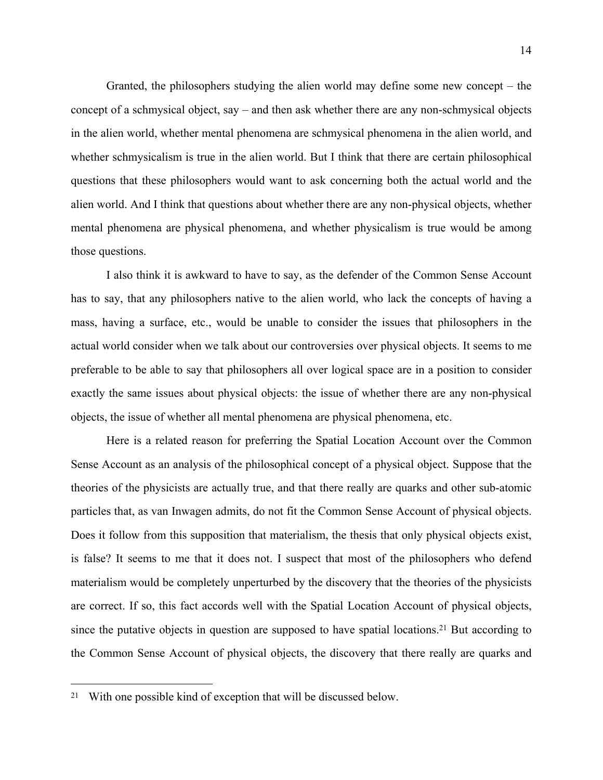Granted, the philosophers studying the alien world may define some new concept – the concept of a schmysical object, say – and then ask whether there are any non-schmysical objects in the alien world, whether mental phenomena are schmysical phenomena in the alien world, and whether schmysicalism is true in the alien world. But I think that there are certain philosophical questions that these philosophers would want to ask concerning both the actual world and the alien world. And I think that questions about whether there are any non-physical objects, whether mental phenomena are physical phenomena, and whether physicalism is true would be among those questions.

I also think it is awkward to have to say, as the defender of the Common Sense Account has to say, that any philosophers native to the alien world, who lack the concepts of having a mass, having a surface, etc., would be unable to consider the issues that philosophers in the actual world consider when we talk about our controversies over physical objects. It seems to me preferable to be able to say that philosophers all over logical space are in a position to consider exactly the same issues about physical objects: the issue of whether there are any non-physical objects, the issue of whether all mental phenomena are physical phenomena, etc.

Here is a related reason for preferring the Spatial Location Account over the Common Sense Account as an analysis of the philosophical concept of a physical object. Suppose that the theories of the physicists are actually true, and that there really are quarks and other sub-atomic particles that, as van Inwagen admits, do not fit the Common Sense Account of physical objects. Does it follow from this supposition that materialism, the thesis that only physical objects exist, is false? It seems to me that it does not. I suspect that most of the philosophers who defend materialism would be completely unperturbed by the discovery that the theories of the physicists are correct. If so, this fact accords well with the Spatial Location Account of physical objects, since the putative objects in question are supposed to have spatial locations[.21](#page-13-0) But according to the Common Sense Account of physical objects, the discovery that there really are quarks and

<span id="page-13-0"></span><sup>21</sup> With one possible kind of exception that will be discussed below.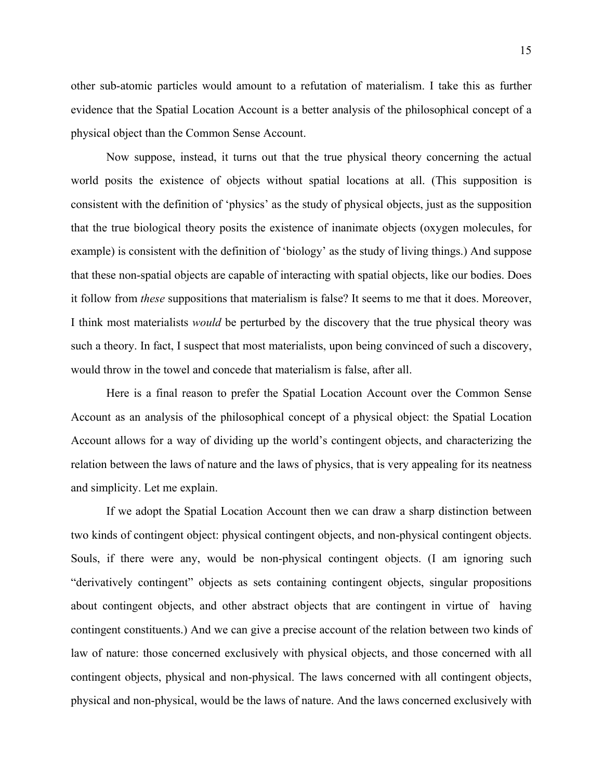other sub-atomic particles would amount to a refutation of materialism. I take this as further evidence that the Spatial Location Account is a better analysis of the philosophical concept of a physical object than the Common Sense Account.

Now suppose, instead, it turns out that the true physical theory concerning the actual world posits the existence of objects without spatial locations at all. (This supposition is consistent with the definition of 'physics' as the study of physical objects, just as the supposition that the true biological theory posits the existence of inanimate objects (oxygen molecules, for example) is consistent with the definition of 'biology' as the study of living things.) And suppose that these non-spatial objects are capable of interacting with spatial objects, like our bodies. Does it follow from *these* suppositions that materialism is false? It seems to me that it does. Moreover, I think most materialists *would* be perturbed by the discovery that the true physical theory was such a theory. In fact, I suspect that most materialists, upon being convinced of such a discovery, would throw in the towel and concede that materialism is false, after all.

Here is a final reason to prefer the Spatial Location Account over the Common Sense Account as an analysis of the philosophical concept of a physical object: the Spatial Location Account allows for a way of dividing up the world's contingent objects, and characterizing the relation between the laws of nature and the laws of physics, that is very appealing for its neatness and simplicity. Let me explain.

If we adopt the Spatial Location Account then we can draw a sharp distinction between two kinds of contingent object: physical contingent objects, and non-physical contingent objects. Souls, if there were any, would be non-physical contingent objects. (I am ignoring such "derivatively contingent" objects as sets containing contingent objects, singular propositions about contingent objects, and other abstract objects that are contingent in virtue of having contingent constituents.) And we can give a precise account of the relation between two kinds of law of nature: those concerned exclusively with physical objects, and those concerned with all contingent objects, physical and non-physical. The laws concerned with all contingent objects, physical and non-physical, would be the laws of nature. And the laws concerned exclusively with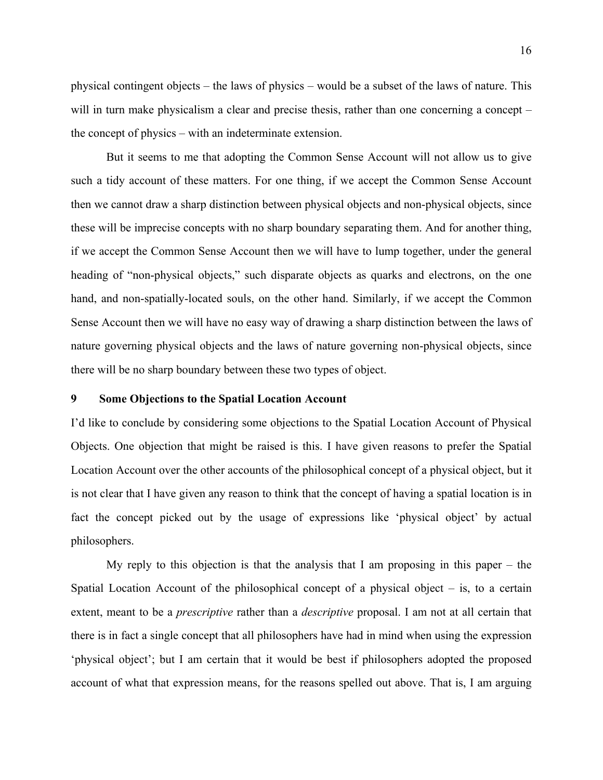physical contingent objects – the laws of physics – would be a subset of the laws of nature. This will in turn make physicalism a clear and precise thesis, rather than one concerning a concept – the concept of physics – with an indeterminate extension.

But it seems to me that adopting the Common Sense Account will not allow us to give such a tidy account of these matters. For one thing, if we accept the Common Sense Account then we cannot draw a sharp distinction between physical objects and non-physical objects, since these will be imprecise concepts with no sharp boundary separating them. And for another thing, if we accept the Common Sense Account then we will have to lump together, under the general heading of "non-physical objects," such disparate objects as quarks and electrons, on the one hand, and non-spatially-located souls, on the other hand. Similarly, if we accept the Common Sense Account then we will have no easy way of drawing a sharp distinction between the laws of nature governing physical objects and the laws of nature governing non-physical objects, since there will be no sharp boundary between these two types of object.

#### **9 Some Objections to the Spatial Location Account**

I'd like to conclude by considering some objections to the Spatial Location Account of Physical Objects. One objection that might be raised is this. I have given reasons to prefer the Spatial Location Account over the other accounts of the philosophical concept of a physical object, but it is not clear that I have given any reason to think that the concept of having a spatial location is in fact the concept picked out by the usage of expressions like 'physical object' by actual philosophers.

My reply to this objection is that the analysis that I am proposing in this paper – the Spatial Location Account of the philosophical concept of a physical object  $-$  is, to a certain extent, meant to be a *prescriptive* rather than a *descriptive* proposal. I am not at all certain that there is in fact a single concept that all philosophers have had in mind when using the expression 'physical object'; but I am certain that it would be best if philosophers adopted the proposed account of what that expression means, for the reasons spelled out above. That is, I am arguing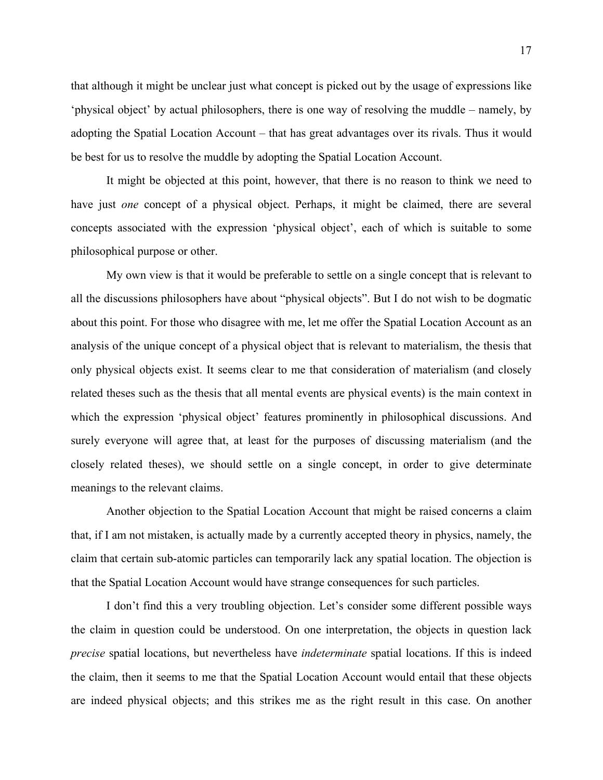that although it might be unclear just what concept is picked out by the usage of expressions like 'physical object' by actual philosophers, there is one way of resolving the muddle – namely, by adopting the Spatial Location Account – that has great advantages over its rivals. Thus it would be best for us to resolve the muddle by adopting the Spatial Location Account.

It might be objected at this point, however, that there is no reason to think we need to have just *one* concept of a physical object. Perhaps, it might be claimed, there are several concepts associated with the expression 'physical object', each of which is suitable to some philosophical purpose or other.

My own view is that it would be preferable to settle on a single concept that is relevant to all the discussions philosophers have about "physical objects". But I do not wish to be dogmatic about this point. For those who disagree with me, let me offer the Spatial Location Account as an analysis of the unique concept of a physical object that is relevant to materialism, the thesis that only physical objects exist. It seems clear to me that consideration of materialism (and closely related theses such as the thesis that all mental events are physical events) is the main context in which the expression 'physical object' features prominently in philosophical discussions. And surely everyone will agree that, at least for the purposes of discussing materialism (and the closely related theses), we should settle on a single concept, in order to give determinate meanings to the relevant claims.

Another objection to the Spatial Location Account that might be raised concerns a claim that, if I am not mistaken, is actually made by a currently accepted theory in physics, namely, the claim that certain sub-atomic particles can temporarily lack any spatial location. The objection is that the Spatial Location Account would have strange consequences for such particles.

I don't find this a very troubling objection. Let's consider some different possible ways the claim in question could be understood. On one interpretation, the objects in question lack *precise* spatial locations, but nevertheless have *indeterminate* spatial locations. If this is indeed the claim, then it seems to me that the Spatial Location Account would entail that these objects are indeed physical objects; and this strikes me as the right result in this case. On another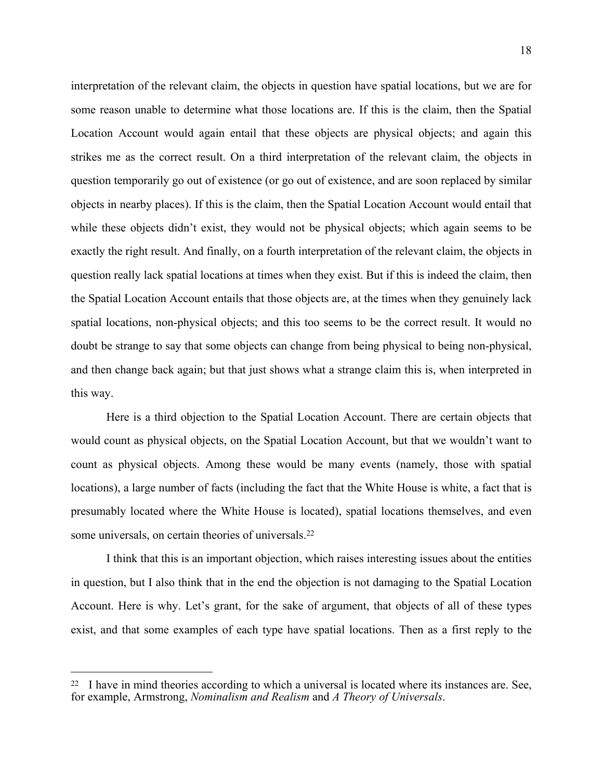interpretation of the relevant claim, the objects in question have spatial locations, but we are for some reason unable to determine what those locations are. If this is the claim, then the Spatial Location Account would again entail that these objects are physical objects; and again this strikes me as the correct result. On a third interpretation of the relevant claim, the objects in question temporarily go out of existence (or go out of existence, and are soon replaced by similar objects in nearby places). If this is the claim, then the Spatial Location Account would entail that while these objects didn't exist, they would not be physical objects; which again seems to be exactly the right result. And finally, on a fourth interpretation of the relevant claim, the objects in question really lack spatial locations at times when they exist. But if this is indeed the claim, then the Spatial Location Account entails that those objects are, at the times when they genuinely lack spatial locations, non-physical objects; and this too seems to be the correct result. It would no doubt be strange to say that some objects can change from being physical to being non-physical, and then change back again; but that just shows what a strange claim this is, when interpreted in this way.

Here is a third objection to the Spatial Location Account. There are certain objects that would count as physical objects, on the Spatial Location Account, but that we wouldn't want to count as physical objects. Among these would be many events (namely, those with spatial locations), a large number of facts (including the fact that the White House is white, a fact that is presumably located where the White House is located), spatial locations themselves, and even some universals, on certain theories of universals.<sup>22</sup>

I think that this is an important objection, which raises interesting issues about the entities in question, but I also think that in the end the objection is not damaging to the Spatial Location Account. Here is why. Let's grant, for the sake of argument, that objects of all of these types exist, and that some examples of each type have spatial locations. Then as a first reply to the

<span id="page-17-0"></span><sup>22</sup> I have in mind theories according to which a universal is located where its instances are. See, for example, Armstrong, *Nominalism and Realism* and *A Theory of Universals*.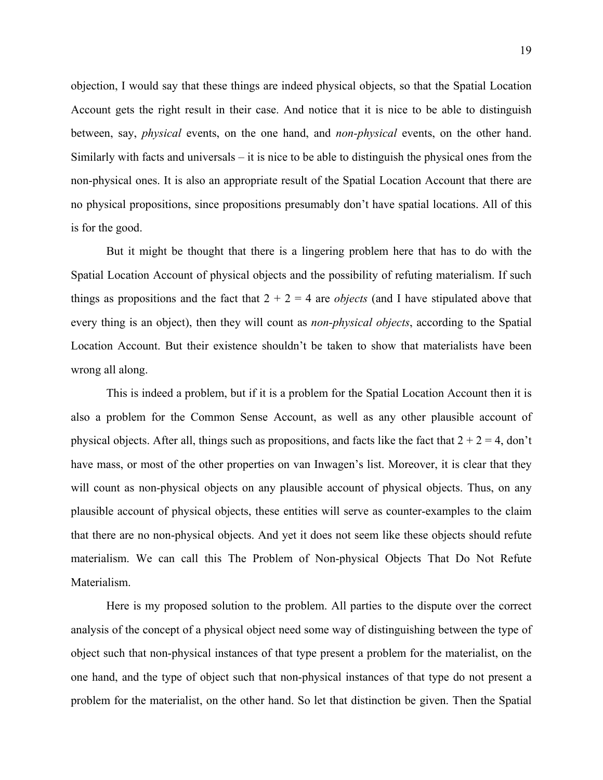objection, I would say that these things are indeed physical objects, so that the Spatial Location Account gets the right result in their case. And notice that it is nice to be able to distinguish between, say, *physical* events, on the one hand, and *non-physical* events, on the other hand. Similarly with facts and universals – it is nice to be able to distinguish the physical ones from the non-physical ones. It is also an appropriate result of the Spatial Location Account that there are no physical propositions, since propositions presumably don't have spatial locations. All of this is for the good.

But it might be thought that there is a lingering problem here that has to do with the Spatial Location Account of physical objects and the possibility of refuting materialism. If such things as propositions and the fact that  $2 + 2 = 4$  are *objects* (and I have stipulated above that every thing is an object), then they will count as *non-physical objects*, according to the Spatial Location Account. But their existence shouldn't be taken to show that materialists have been wrong all along.

This is indeed a problem, but if it is a problem for the Spatial Location Account then it is also a problem for the Common Sense Account, as well as any other plausible account of physical objects. After all, things such as propositions, and facts like the fact that  $2 + 2 = 4$ , don't have mass, or most of the other properties on van Inwagen's list. Moreover, it is clear that they will count as non-physical objects on any plausible account of physical objects. Thus, on any plausible account of physical objects, these entities will serve as counter-examples to the claim that there are no non-physical objects. And yet it does not seem like these objects should refute materialism. We can call this The Problem of Non-physical Objects That Do Not Refute Materialism.

Here is my proposed solution to the problem. All parties to the dispute over the correct analysis of the concept of a physical object need some way of distinguishing between the type of object such that non-physical instances of that type present a problem for the materialist, on the one hand, and the type of object such that non-physical instances of that type do not present a problem for the materialist, on the other hand. So let that distinction be given. Then the Spatial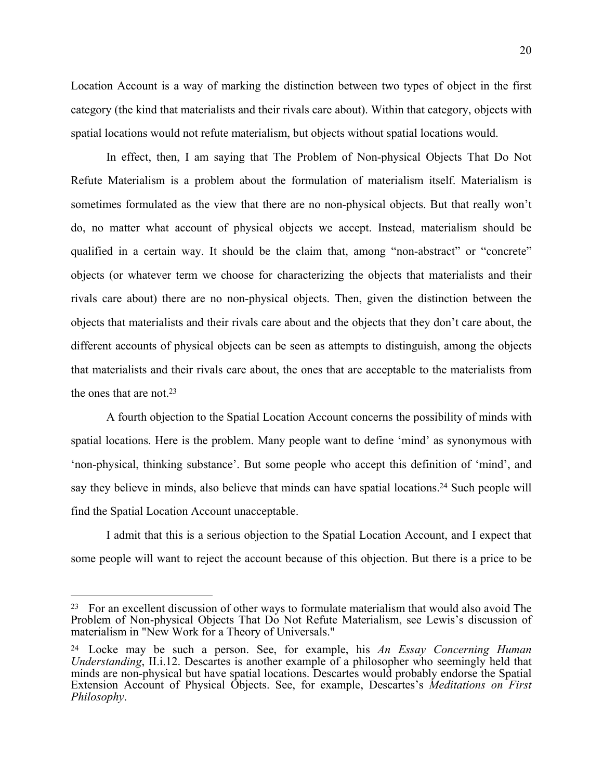Location Account is a way of marking the distinction between two types of object in the first category (the kind that materialists and their rivals care about). Within that category, objects with spatial locations would not refute materialism, but objects without spatial locations would.

In effect, then, I am saying that The Problem of Non-physical Objects That Do Not Refute Materialism is a problem about the formulation of materialism itself. Materialism is sometimes formulated as the view that there are no non-physical objects. But that really won't do, no matter what account of physical objects we accept. Instead, materialism should be qualified in a certain way. It should be the claim that, among "non-abstract" or "concrete" objects (or whatever term we choose for characterizing the objects that materialists and their rivals care about) there are no non-physical objects. Then, given the distinction between the objects that materialists and their rivals care about and the objects that they don't care about, the different accounts of physical objects can be seen as attempts to distinguish, among the objects that materialists and their rivals care about, the ones that are acceptable to the materialists from the ones that are not.[23](#page-19-0)

A fourth objection to the Spatial Location Account concerns the possibility of minds with spatial locations. Here is the problem. Many people want to define 'mind' as synonymous with 'non-physical, thinking substance'. But some people who accept this definition of 'mind', and say they believe in minds, also believe that minds can have spatial locations.<sup>24</sup> Such people will find the Spatial Location Account unacceptable.

I admit that this is a serious objection to the Spatial Location Account, and I expect that some people will want to reject the account because of this objection. But there is a price to be

1

<span id="page-19-0"></span><sup>&</sup>lt;sup>23</sup> For an excellent discussion of other ways to formulate materialism that would also avoid The Problem of Non-physical Objects That Do Not Refute Materialism, see Lewis's discussion of materialism in "New Work for a Theory of Universals."

<span id="page-19-1"></span><sup>24</sup> Locke may be such a person. See, for example, his *An Essay Concerning Human Understanding*, II.i.12. Descartes is another example of a philosopher who seemingly held that minds are non-physical but have spatial locations. Descartes would probably endorse the Spatial Extension Account of Physical Objects. See, for example, Descartes's *Meditations on First Philosophy*.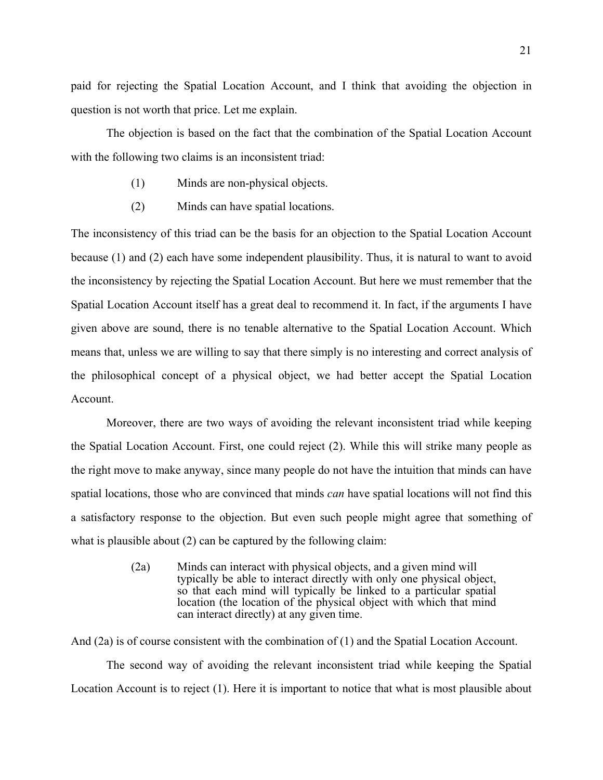paid for rejecting the Spatial Location Account, and I think that avoiding the objection in question is not worth that price. Let me explain.

The objection is based on the fact that the combination of the Spatial Location Account with the following two claims is an inconsistent triad:

- (1) Minds are non-physical objects.
- (2) Minds can have spatial locations.

The inconsistency of this triad can be the basis for an objection to the Spatial Location Account because (1) and (2) each have some independent plausibility. Thus, it is natural to want to avoid the inconsistency by rejecting the Spatial Location Account. But here we must remember that the Spatial Location Account itself has a great deal to recommend it. In fact, if the arguments I have given above are sound, there is no tenable alternative to the Spatial Location Account. Which means that, unless we are willing to say that there simply is no interesting and correct analysis of the philosophical concept of a physical object, we had better accept the Spatial Location Account.

Moreover, there are two ways of avoiding the relevant inconsistent triad while keeping the Spatial Location Account. First, one could reject (2). While this will strike many people as the right move to make anyway, since many people do not have the intuition that minds can have spatial locations, those who are convinced that minds *can* have spatial locations will not find this a satisfactory response to the objection. But even such people might agree that something of what is plausible about (2) can be captured by the following claim:

> (2a) Minds can interact with physical objects, and a given mind will typically be able to interact directly with only one physical object, so that each mind will typically be linked to a particular spatial location (the location of the physical object with which that mind can interact directly) at any given time.

And (2a) is of course consistent with the combination of (1) and the Spatial Location Account.

The second way of avoiding the relevant inconsistent triad while keeping the Spatial Location Account is to reject (1). Here it is important to notice that what is most plausible about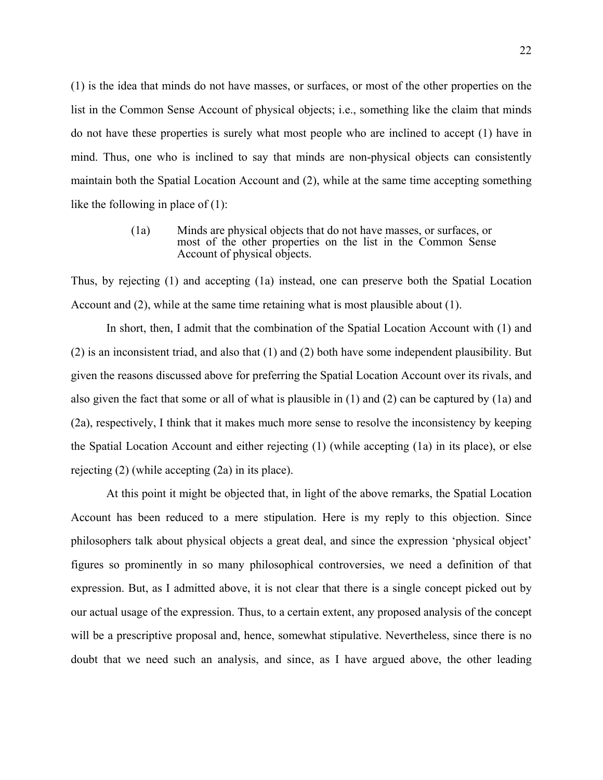(1) is the idea that minds do not have masses, or surfaces, or most of the other properties on the list in the Common Sense Account of physical objects; i.e., something like the claim that minds do not have these properties is surely what most people who are inclined to accept (1) have in mind. Thus, one who is inclined to say that minds are non-physical objects can consistently maintain both the Spatial Location Account and (2), while at the same time accepting something like the following in place of (1):

> (1a) Minds are physical objects that do not have masses, or surfaces, or most of the other properties on the list in the Common Sense Account of physical objects.

Thus, by rejecting (1) and accepting (1a) instead, one can preserve both the Spatial Location Account and (2), while at the same time retaining what is most plausible about (1).

In short, then, I admit that the combination of the Spatial Location Account with (1) and (2) is an inconsistent triad, and also that (1) and (2) both have some independent plausibility. But given the reasons discussed above for preferring the Spatial Location Account over its rivals, and also given the fact that some or all of what is plausible in (1) and (2) can be captured by (1a) and (2a), respectively, I think that it makes much more sense to resolve the inconsistency by keeping the Spatial Location Account and either rejecting (1) (while accepting (1a) in its place), or else rejecting (2) (while accepting (2a) in its place).

At this point it might be objected that, in light of the above remarks, the Spatial Location Account has been reduced to a mere stipulation. Here is my reply to this objection. Since philosophers talk about physical objects a great deal, and since the expression 'physical object' figures so prominently in so many philosophical controversies, we need a definition of that expression. But, as I admitted above, it is not clear that there is a single concept picked out by our actual usage of the expression. Thus, to a certain extent, any proposed analysis of the concept will be a prescriptive proposal and, hence, somewhat stipulative. Nevertheless, since there is no doubt that we need such an analysis, and since, as I have argued above, the other leading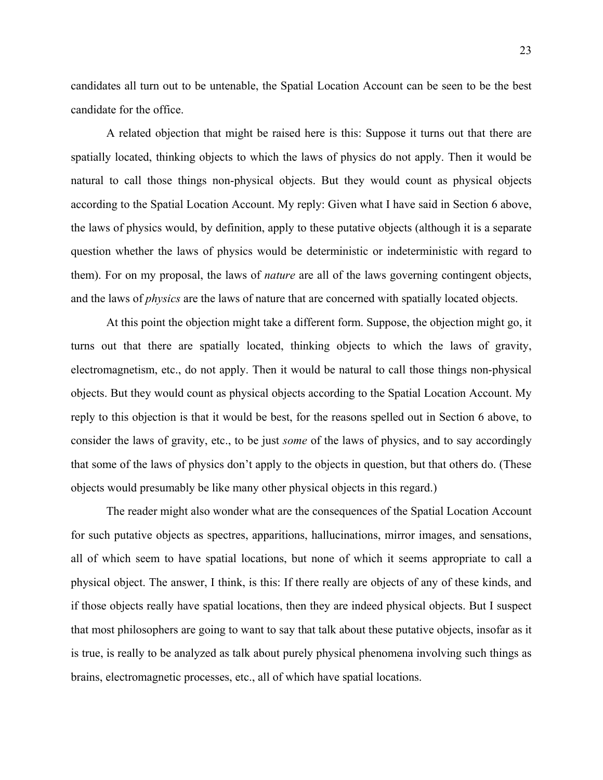candidates all turn out to be untenable, the Spatial Location Account can be seen to be the best candidate for the office.

A related objection that might be raised here is this: Suppose it turns out that there are spatially located, thinking objects to which the laws of physics do not apply. Then it would be natural to call those things non-physical objects. But they would count as physical objects according to the Spatial Location Account. My reply: Given what I have said in Section 6 above, the laws of physics would, by definition, apply to these putative objects (although it is a separate question whether the laws of physics would be deterministic or indeterministic with regard to them). For on my proposal, the laws of *nature* are all of the laws governing contingent objects, and the laws of *physics* are the laws of nature that are concerned with spatially located objects.

At this point the objection might take a different form. Suppose, the objection might go, it turns out that there are spatially located, thinking objects to which the laws of gravity, electromagnetism, etc., do not apply. Then it would be natural to call those things non-physical objects. But they would count as physical objects according to the Spatial Location Account. My reply to this objection is that it would be best, for the reasons spelled out in Section 6 above, to consider the laws of gravity, etc., to be just *some* of the laws of physics, and to say accordingly that some of the laws of physics don't apply to the objects in question, but that others do. (These objects would presumably be like many other physical objects in this regard.)

The reader might also wonder what are the consequences of the Spatial Location Account for such putative objects as spectres, apparitions, hallucinations, mirror images, and sensations, all of which seem to have spatial locations, but none of which it seems appropriate to call a physical object. The answer, I think, is this: If there really are objects of any of these kinds, and if those objects really have spatial locations, then they are indeed physical objects. But I suspect that most philosophers are going to want to say that talk about these putative objects, insofar as it is true, is really to be analyzed as talk about purely physical phenomena involving such things as brains, electromagnetic processes, etc., all of which have spatial locations.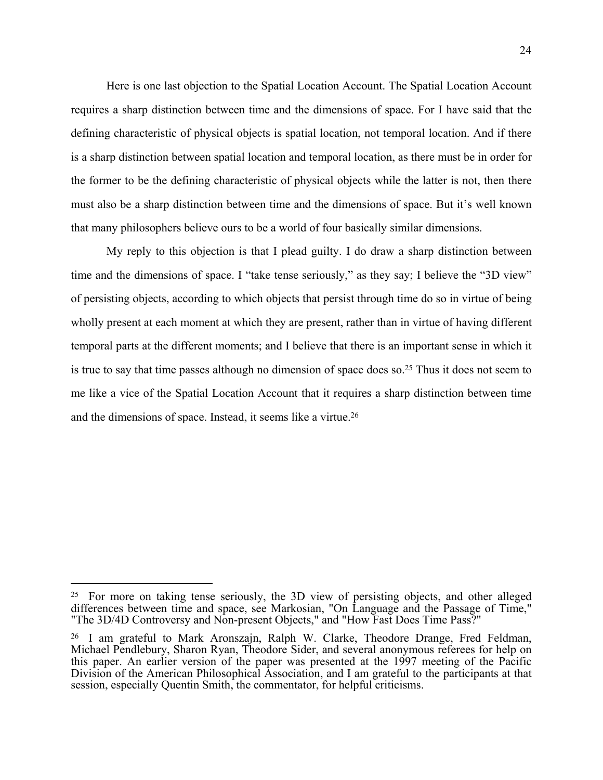Here is one last objection to the Spatial Location Account. The Spatial Location Account requires a sharp distinction between time and the dimensions of space. For I have said that the defining characteristic of physical objects is spatial location, not temporal location. And if there is a sharp distinction between spatial location and temporal location, as there must be in order for the former to be the defining characteristic of physical objects while the latter is not, then there must also be a sharp distinction between time and the dimensions of space. But it's well known that many philosophers believe ours to be a world of four basically similar dimensions.

My reply to this objection is that I plead guilty. I do draw a sharp distinction between time and the dimensions of space. I "take tense seriously," as they say; I believe the "3D view" of persisting objects, according to which objects that persist through time do so in virtue of being wholly present at each moment at which they are present, rather than in virtue of having different temporal parts at the different moments; and I believe that there is an important sense in which it is true to say that time passes although no dimension of space does so[.25](#page-23-0) Thus it does not seem to me like a vice of the Spatial Location Account that it requires a sharp distinction between time and the dimensions of space. Instead, it seems like a virtue[.26](#page-23-1)

<span id="page-23-0"></span><sup>25</sup> For more on taking tense seriously, the 3D view of persisting objects, and other alleged differences between time and space, see Markosian, "On Language and the Passage of Time," "The 3D/4D Controversy and Non-present Objects," and "How Fast Does Time Pass?"

<span id="page-23-1"></span><sup>26</sup> I am grateful to Mark Aronszajn, Ralph W. Clarke, Theodore Drange, Fred Feldman, Michael Pendlebury, Sharon Ryan, Theodore Sider, and several anonymous referees for help on this paper. An earlier version of the paper was presented at the 1997 meeting of the Pacific Division of the American Philosophical Association, and I am grateful to the participants at that session, especially Quentin Smith, the commentator, for helpful criticisms.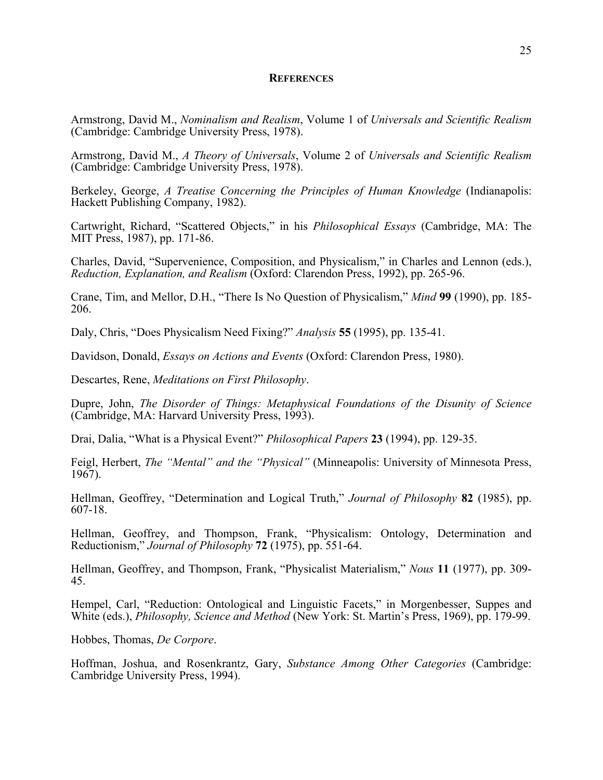#### **REFERENCES**

Armstrong, David M., *Nominalism and Realism*, Volume 1 of *Universals and Scientific Realism* (Cambridge: Cambridge University Press, 1978).

Armstrong, David M., *A Theory of Universals*, Volume 2 of *Universals and Scientific Realism*  (Cambridge: Cambridge University Press, 1978).

Berkeley, George, *A Treatise Concerning the Principles of Human Knowledge* (Indianapolis: Hackett Publishing Company, 1982).

Cartwright, Richard, "Scattered Objects," in his *Philosophical Essays* (Cambridge, MA: The MIT Press, 1987), pp. 171-86.

Charles, David, "Supervenience, Composition, and Physicalism," in Charles and Lennon (eds.), *Reduction, Explanation, and Realism* (Oxford: Clarendon Press, 1992), pp. 265-96.

Crane, Tim, and Mellor, D.H., "There Is No Question of Physicalism," *Mind* **99** (1990), pp. 185- 206.

Daly, Chris, "Does Physicalism Need Fixing?" *Analysis* **55** (1995), pp. 135-41.

Davidson, Donald, *Essays on Actions and Events* (Oxford: Clarendon Press, 1980).

Descartes, Rene, *Meditations on First Philosophy*.

Dupre, John, *The Disorder of Things: Metaphysical Foundations of the Disunity of Science* (Cambridge, MA: Harvard University Press, 1993).

Drai, Dalia, "What is a Physical Event?" *Philosophical Papers* **23** (1994), pp. 129-35.

Feigl, Herbert, *The "Mental" and the "Physical"* (Minneapolis: University of Minnesota Press,  $1967$ ).

Hellman, Geoffrey, "Determination and Logical Truth," *Journal of Philosophy* **82** (1985), pp. 607-18.

Hellman, Geoffrey, and Thompson, Frank, "Physicalism: Ontology, Determination and Reductionism," *Journal of Philosophy* **72** (1975), pp. 551-64.

Hellman, Geoffrey, and Thompson, Frank, "Physicalist Materialism," *Nous* **11** (1977), pp. 309- 45.

Hempel, Carl, "Reduction: Ontological and Linguistic Facets," in Morgenbesser, Suppes and White (eds.), *Philosophy, Science and Method* (New York: St. Martin's Press, 1969), pp. 179-99.

Hobbes, Thomas, *De Corpore*.

Hoffman, Joshua, and Rosenkrantz, Gary, *Substance Among Other Categories* (Cambridge: Cambridge University Press, 1994).